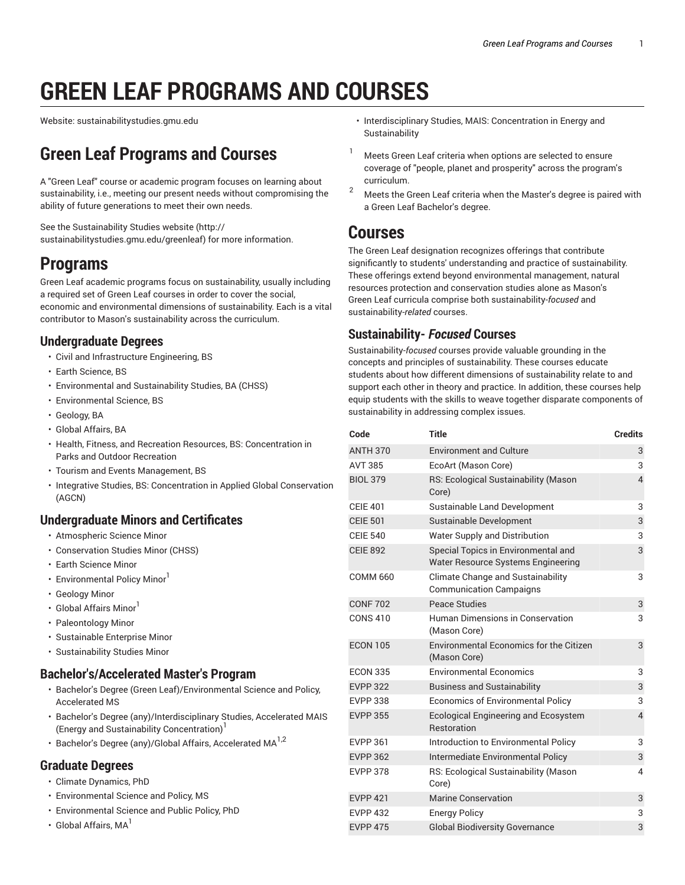# **GREEN LEAF PROGRAMS AND COURSES**

Website: sustainabilitystudies.gmu.edu

## **Green Leaf Programs and Courses**

A "Green Leaf" course or academic program focuses on learning about sustainability, i.e., meeting our present needs without compromising the ability of future generations to meet their own needs.

See the Sustainability Studies website (http:// sustainabilitystudies.gmu.edu/greenleaf) for more information.

### **Programs**

Green Leaf academic programs focus on sustainability, usually including a required set of Green Leaf courses in order to cover the social, economic and environmental dimensions of sustainability. Each is a vital contributor to Mason's sustainability across the curriculum.

#### **Undergraduate Degrees**

- Civil and Infrastructure Engineering, BS
- Earth Science, BS
- Environmental and Sustainability Studies, BA (CHSS)
- Environmental Science, BS
- Geology, BA
- Global Affairs, BA
- Health, Fitness, and Recreation Resources, BS: Concentration in Parks and Outdoor Recreation
- Tourism and Events Management, BS
- Integrative Studies, BS: Concentration in Applied Global Conservation (AGCN)

#### **Undergraduate Minors and Certificates**

- Atmospheric Science Minor
- Conservation Studies Minor (CHSS)
- Earth Science Minor
- Environmental Policy Minor<sup>1</sup>
- Geology Minor
- Global Affairs Minor
- Paleontology Minor
- Sustainable Enterprise Minor
- Sustainability Studies Minor

#### **Bachelor's/Accelerated Master's Program**

- Bachelor's Degree (Green Leaf)/Environmental Science and Policy, Accelerated MS
- Bachelor's Degree (any)/Interdisciplinary Studies, Accelerated MAIS (Energy and Sustainability Concentration)<sup>1</sup>
- Bachelor's Degree (any)/Global Affairs, Accelerated MA $^{\mathrm{1,2}}$

#### **Graduate Degrees**

- Climate Dynamics, PhD
- Environmental Science and Policy, MS
- Environmental Science and Public Policy, PhD
- Global Affairs, MA $^1$
- Interdisciplinary Studies, MAIS: Concentration in Energy and **Sustainability**
- <sup>1</sup> Meets Green Leaf criteria when options are selected to ensure coverage of "people, planet and prosperity" across the program's curriculum.
- <sup>2</sup> Meets the Green Leaf criteria when the Master's degree is paired with a Green Leaf Bachelor's degree.

### **Courses**

The Green Leaf designation recognizes offerings that contribute significantly to students' understanding and practice of sustainability. These offerings extend beyond environmental management, natural resources protection and conservation studies alone as Mason's Green Leaf curricula comprise both sustainability-*focused* and sustainability-*related* courses.

#### **Sustainability-** *Focused* **Courses**

Sustainability-*focused* courses provide valuable grounding in the concepts and principles of sustainability. These courses educate students about how different dimensions of sustainability relate to and support each other in theory and practice. In addition, these courses help equip students with the skills to weave together disparate components of sustainability in addressing complex issues.

| Code            | <b>Title</b>                                                              | <b>Credits</b>           |
|-----------------|---------------------------------------------------------------------------|--------------------------|
| <b>ANTH 370</b> | <b>Environment and Culture</b>                                            | 3                        |
| <b>AVT 385</b>  | EcoArt (Mason Core)                                                       | 3                        |
| <b>BIOL 379</b> | RS: Ecological Sustainability (Mason<br>Core)                             | 4                        |
| <b>CEIE 401</b> | Sustainable Land Development                                              | 3                        |
| <b>CEIE 501</b> | Sustainable Development                                                   | 3                        |
| <b>CEIE 540</b> | <b>Water Supply and Distribution</b>                                      | 3                        |
| <b>CEIE 892</b> | Special Topics in Environmental and<br>Water Resource Systems Engineering | 3                        |
| COMM 660        | Climate Change and Sustainability<br><b>Communication Campaigns</b>       | 3                        |
| <b>CONF 702</b> | Peace Studies                                                             | 3                        |
| <b>CONS 410</b> | Human Dimensions in Conservation<br>(Mason Core)                          | 3                        |
| <b>ECON 105</b> | <b>Environmental Economics for the Citizen</b><br>(Mason Core)            | 3                        |
| <b>ECON 335</b> | <b>Environmental Economics</b>                                            | 3                        |
| <b>EVPP 322</b> | <b>Business and Sustainability</b>                                        | 3                        |
| <b>EVPP 338</b> | <b>Economics of Environmental Policy</b>                                  | 3                        |
| <b>EVPP 355</b> | <b>Ecological Engineering and Ecosystem</b><br>Restoration                | $\overline{\mathcal{L}}$ |
| <b>EVPP 361</b> | Introduction to Environmental Policy                                      | 3                        |
| <b>EVPP 362</b> | Intermediate Environmental Policy                                         | 3                        |
| <b>EVPP 378</b> | RS: Ecological Sustainability (Mason<br>Core)                             | 4                        |
| <b>EVPP 421</b> | <b>Marine Conservation</b>                                                | 3                        |
| <b>EVPP 432</b> | <b>Energy Policy</b>                                                      | 3                        |
| <b>EVPP 475</b> | <b>Global Biodiversity Governance</b>                                     | 3                        |
|                 |                                                                           |                          |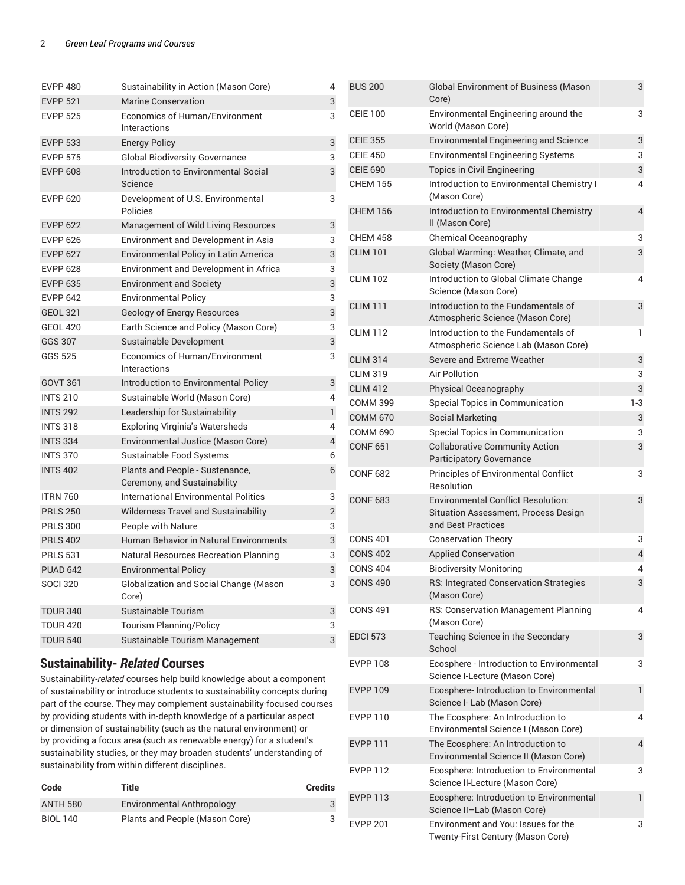| <b>EVPP 480</b> | Sustainability in Action (Mason Core)                           | 4              | B                 |
|-----------------|-----------------------------------------------------------------|----------------|-------------------|
| <b>EVPP 521</b> | <b>Marine Conservation</b>                                      | 3              |                   |
| <b>EVPP 525</b> | <b>Economics of Human/Environment</b><br>Interactions           | 3              | C                 |
| <b>EVPP 533</b> | <b>Energy Policy</b>                                            | 3              | C                 |
| <b>EVPP 575</b> | <b>Global Biodiversity Governance</b>                           | 3              | C                 |
| <b>EVPP 608</b> | Introduction to Environmental Social<br>Science                 | 3              | C<br>C            |
| <b>EVPP 620</b> | Development of U.S. Environmental<br>Policies                   | 3              | C                 |
| <b>EVPP 622</b> | Management of Wild Living Resources                             | 3              |                   |
| <b>EVPP 626</b> | Environment and Development in Asia                             | 3              | C                 |
| <b>EVPP 627</b> | <b>Environmental Policy in Latin America</b>                    | 3              | C                 |
| <b>EVPP 628</b> | Environment and Development in Africa                           | 3              |                   |
| <b>EVPP 635</b> | <b>Environment and Society</b>                                  | 3              | C                 |
| <b>EVPP 642</b> | <b>Environmental Policy</b>                                     | 3              | $\mathsf{C}$      |
| <b>GEOL 321</b> | <b>Geology of Energy Resources</b>                              | 3              |                   |
| <b>GEOL 420</b> | Earth Science and Policy (Mason Core)                           | 3              | C                 |
| GGS 307         | Sustainable Development                                         | 3              |                   |
| GGS 525         | <b>Economics of Human/Environment</b><br>Interactions           | 3              | $\mathsf{C}$<br>C |
| <b>GOVT 361</b> | Introduction to Environmental Policy                            | 3              | $\mathbf C$       |
| <b>INTS 210</b> | Sustainable World (Mason Core)                                  | 4              | $\mathsf{C}$      |
| <b>INTS 292</b> | Leadership for Sustainability                                   | 1              | $\mathsf{C}$      |
| <b>INTS 318</b> | <b>Exploring Virginia's Watersheds</b>                          | 4              | C                 |
| <b>INTS 334</b> | Environmental Justice (Mason Core)                              | 4              | $\overline{C}$    |
| <b>INTS 370</b> | Sustainable Food Systems                                        | 6              |                   |
| <b>INTS 402</b> | Plants and People - Sustenance,<br>Ceremony, and Sustainability | 6              | C                 |
| <b>ITRN 760</b> | <b>International Environmental Politics</b>                     | 3              | C                 |
| <b>PRLS 250</b> | <b>Wilderness Travel and Sustainability</b>                     | $\overline{2}$ |                   |
| <b>PRLS 300</b> | People with Nature                                              | 3              |                   |
| <b>PRLS 402</b> | <b>Human Behavior in Natural Environments</b>                   | 3              | C                 |
| <b>PRLS 531</b> | <b>Natural Resources Recreation Planning</b>                    | 3              | $\mathsf{C}$      |
| <b>PUAD 642</b> | <b>Environmental Policy</b>                                     | 3              | C                 |
| <b>SOCI 320</b> | Globalization and Social Change (Mason<br>Core)                 | 3              | $\mathsf{C}$      |
| <b>TOUR 340</b> | Sustainable Tourism                                             | 3              | C                 |
| <b>TOUR 420</b> | <b>Tourism Planning/Policy</b>                                  | 3              |                   |
| <b>TOUR 540</b> | Sustainable Tourism Management                                  | 3              | E                 |
|                 |                                                                 |                |                   |

#### **Sustainability-** *Related* **Courses**

Sustainability-*related* courses help build knowledge about a component of sustainability or introduce students to sustainability concepts during part of the course. They may complement sustainability-focused courses by providing students with in-depth knowledge of a particular aspect or dimension of sustainability (such as the natural environment) or by providing a focus area (such as renewable energy) for a student's sustainability studies, or they may broaden students' understanding of sustainability from within different disciplines.

| Code            | Title                          | <b>Credits</b> |
|-----------------|--------------------------------|----------------|
| <b>ANTH 580</b> | Environmental Anthropology     |                |
| <b>BIOL 140</b> | Plants and People (Mason Core) |                |

| <b>BUS 200</b>  | Global Environment of Business (Mason<br>Core)                                                          | 3              |
|-----------------|---------------------------------------------------------------------------------------------------------|----------------|
| <b>CEIE 100</b> | Environmental Engineering around the<br>World (Mason Core)                                              | 3              |
| <b>CEIE 355</b> | <b>Environmental Engineering and Science</b>                                                            | 3              |
| <b>CEIE 450</b> | <b>Environmental Engineering Systems</b>                                                                | 3              |
| <b>CEIE 690</b> | Topics in Civil Engineering                                                                             | 3              |
| <b>CHEM 155</b> | Introduction to Environmental Chemistry I<br>(Mason Core)                                               | 4              |
| <b>CHEM 156</b> | Introduction to Environmental Chemistry<br>II (Mason Core)                                              | $\overline{4}$ |
| CHEM 458        | Chemical Oceanography                                                                                   | 3              |
| <b>CLIM 101</b> | Global Warming: Weather, Climate, and<br>Society (Mason Core)                                           | 3              |
| <b>CLIM 102</b> | Introduction to Global Climate Change<br>Science (Mason Core)                                           | 4              |
| <b>CLIM 111</b> | Introduction to the Fundamentals of<br>Atmospheric Science (Mason Core)                                 | 3              |
| <b>CLIM 112</b> | Introduction to the Fundamentals of<br>Atmospheric Science Lab (Mason Core)                             | 1              |
| <b>CLIM 314</b> | Severe and Extreme Weather                                                                              | 3              |
| <b>CLIM 319</b> | Air Pollution                                                                                           | 3              |
| <b>CLIM 412</b> | Physical Oceanography                                                                                   | 3              |
| <b>COMM 399</b> | Special Topics in Communication                                                                         | $1-3$          |
| <b>COMM 670</b> | <b>Social Marketing</b>                                                                                 | 3              |
| <b>COMM 690</b> | Special Topics in Communication                                                                         | 3              |
| <b>CONF 651</b> | <b>Collaborative Community Action</b><br><b>Participatory Governance</b>                                | 3              |
| <b>CONF 682</b> | Principles of Environmental Conflict<br>Resolution                                                      | 3              |
| <b>CONF 683</b> | <b>Environmental Conflict Resolution:</b><br>Situation Assessment, Process Design<br>and Best Practices | 3              |
| <b>CONS 401</b> | <b>Conservation Theory</b>                                                                              | 3              |
| <b>CONS 402</b> | <b>Applied Conservation</b>                                                                             | $\overline{4}$ |
| <b>CONS 404</b> | <b>Biodiversity Monitoring</b>                                                                          | 4              |
| <b>CONS 490</b> | RS: Integrated Conservation Strategies<br>(Mason Core)                                                  | 3              |
| <b>CONS 491</b> | RS: Conservation Management Planning<br>(Mason Core)                                                    | 4              |
| <b>EDCI 573</b> | Teaching Science in the Secondary<br>School                                                             | 3              |
| <b>EVPP 108</b> | Ecosphere - Introduction to Environmental<br>Science I-Lecture (Mason Core)                             | 3              |
| <b>EVPP 109</b> | Ecosphere-Introduction to Environmental<br>Science I- Lab (Mason Core)                                  | 1              |
| EVPP 110        | The Ecosphere: An Introduction to<br>Environmental Science I (Mason Core)                               | 4              |
| <b>EVPP 111</b> | The Ecosphere: An Introduction to<br>Environmental Science II (Mason Core)                              | 4              |
| <b>EVPP 112</b> | Ecosphere: Introduction to Environmental<br>Science II-Lecture (Mason Core)                             | 3              |
| <b>EVPP 113</b> | Ecosphere: Introduction to Environmental<br>Science II-Lab (Mason Core)                                 | 1              |
| <b>EVPP 201</b> | Environment and You: Issues for the<br>Twenty-First Century (Mason Core)                                | 3              |